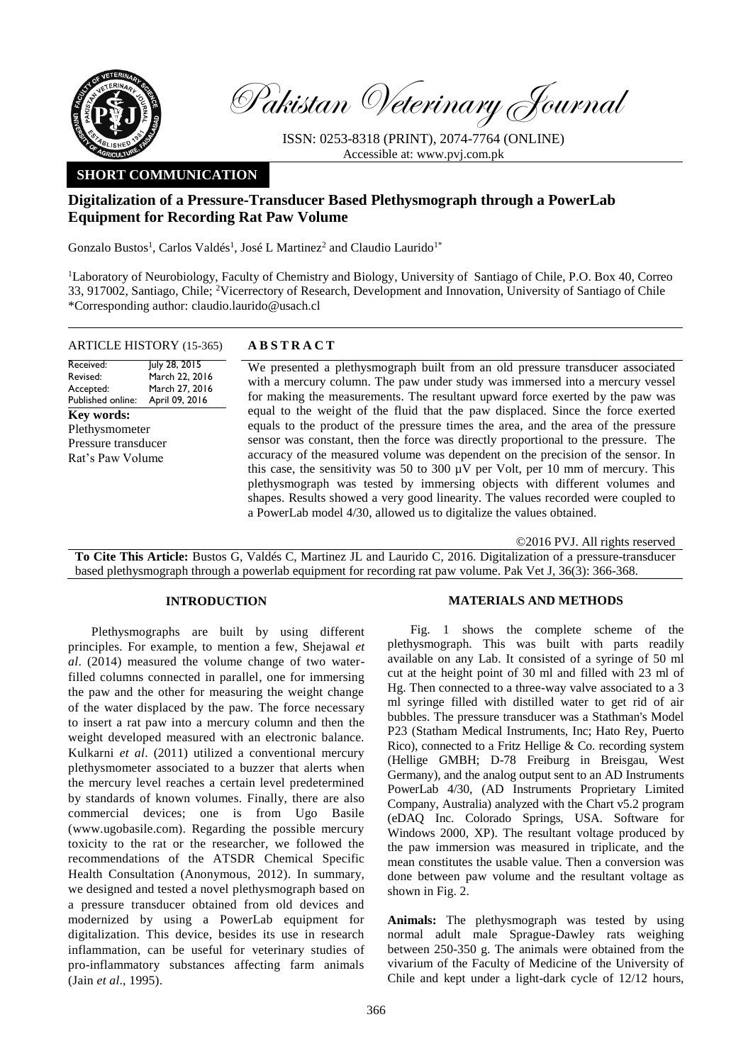

Pakistan Veterinary Journal

ISSN: 0253-8318 (PRINT), 2074-7764 (ONLINE) Accessible at: [www.pvj.com.pk](http://www.pvj.com.pk/)

# **SHORT COMMUNICATION**

## **Digitalization of a Pressure-Transducer Based Plethysmograph through a PowerLab Equipment for Recording Rat Paw Volume**

Gonzalo Bustos<sup>1</sup>, Carlos Valdés<sup>1</sup>, José L Martinez<sup>2</sup> and Claudio Laurido<sup>1\*</sup>

<sup>1</sup>Laboratory of Neurobiology, Faculty of Chemistry and Biology, University of Santiago of Chile, P.O. Box 40, Correo 33, 917002, Santiago, Chile; <sup>2</sup>Vicerrectory of Research, Development and Innovation, University of Santiago of Chile \*Corresponding author: claudio.laurido@usach.cl

## ARTICLE HISTORY (15-365) **A B S T R A C T**

Received: Revised: Accepted: Published online: July 28, 2015 March 22, 2016 March 27, 2016 April 09, 2016 **Key words:**  Plethysmometer Pressure transducer Rat's Paw Volume

We presented a plethysmograph built from an old pressure transducer associated with a mercury column. The paw under study was immersed into a mercury vessel for making the measurements. The resultant upward force exerted by the paw was equal to the weight of the fluid that the paw displaced. Since the force exerted equals to the product of the pressure times the area, and the area of the pressure sensor was constant, then the force was directly proportional to the pressure. The accuracy of the measured volume was dependent on the precision of the sensor. In this case, the sensitivity was 50 to 300 µV per Volt, per 10 mm of mercury. This plethysmograph was tested by immersing objects with different volumes and shapes. Results showed a very good linearity. The values recorded were coupled to a PowerLab model 4/30, allowed us to digitalize the values obtained.

©2016 PVJ. All rights reserved

**To Cite This Article:** Bustos G, Valdés C, Martinez JL and Laurido C, 2016. Digitalization of a pressure-transducer based plethysmograph through a powerlab equipment for recording rat paw volume. Pak Vet J, 36(3): 366-368.

### **INTRODUCTION**

Plethysmographs are built by using different principles. For example, to mention a few, Shejawal *et al*. (2014) measured the volume change of two waterfilled columns connected in parallel, one for immersing the paw and the other for measuring the weight change of the water displaced by the paw. The force necessary to insert a rat paw into a mercury column and then the weight developed measured with an electronic balance. Kulkarni *et al*. (2011) utilized a conventional mercury plethysmometer associated to a buzzer that alerts when the mercury level reaches a certain level predetermined by standards of known volumes. Finally, there are also commercial devices; one is from Ugo Basile (www.ugobasile.com). Regarding the possible mercury toxicity to the rat or the researcher, we followed the recommendations of the ATSDR Chemical Specific Health Consultation (Anonymous, 2012). In summary, we designed and tested a novel plethysmograph based on a pressure transducer obtained from old devices and modernized by using a PowerLab equipment for digitalization. This device, besides its use in research inflammation, can be useful for veterinary studies of pro-inflammatory substances affecting farm animals (Jain *et al*., 1995).

### **MATERIALS AND METHODS**

Fig. 1 shows the complete scheme of the plethysmograph. This was built with parts readily available on any Lab. It consisted of a syringe of 50 ml cut at the height point of 30 ml and filled with 23 ml of Hg. Then connected to a three-way valve associated to a 3 ml syringe filled with distilled water to get rid of air bubbles. The pressure transducer was a Stathman's Model P23 (Statham Medical Instruments, Inc; Hato Rey, Puerto Rico), connected to a Fritz Hellige & Co. recording system (Hellige GMBH; D-78 Freiburg in Breisgau, West Germany), and the analog output sent to an AD Instruments PowerLab 4/30, (AD Instruments Proprietary Limited Company, Australia) analyzed with the Chart v5.2 program (eDAQ Inc. Colorado Springs, USA. Software for Windows 2000, XP). The resultant voltage produced by the paw immersion was measured in triplicate, and the mean constitutes the usable value. Then a conversion was done between paw volume and the resultant voltage as shown in Fig. 2.

**Animals:** The plethysmograph was tested by using normal adult male Sprague-Dawley rats weighing between 250-350 g. The animals were obtained from the vivarium of the Faculty of Medicine of the University of Chile and kept under a light-dark cycle of 12/12 hours,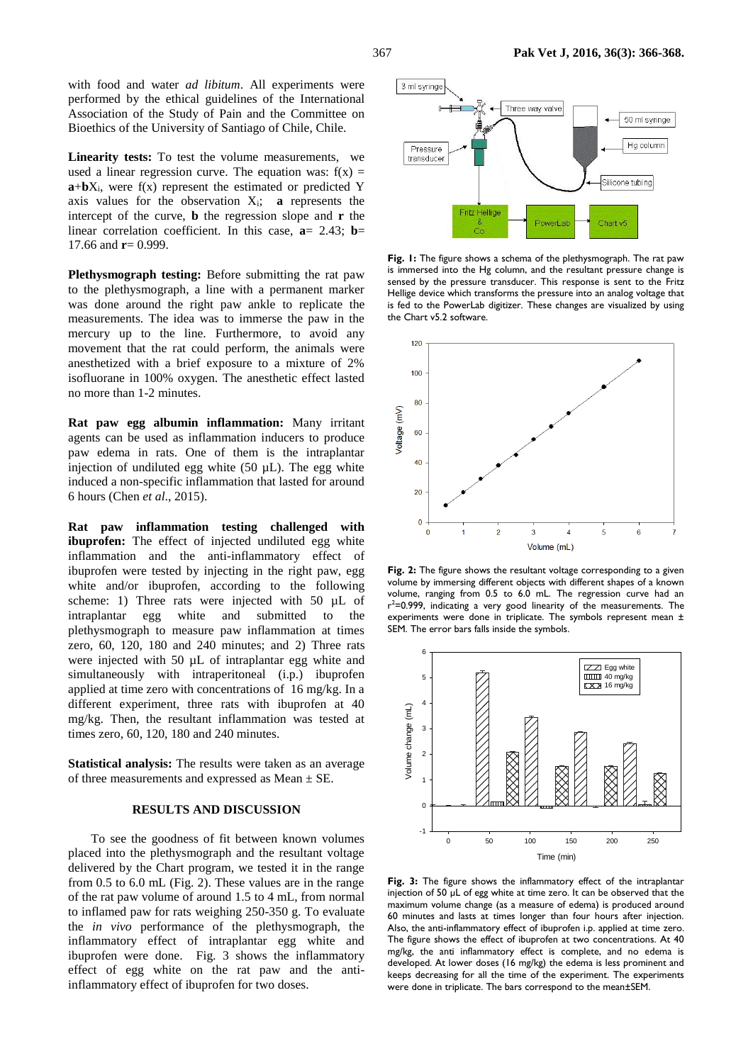with food and water *ad libitum*. All experiments were performed by the ethical guidelines of the International Association of the Study of Pain and the Committee on Bioethics of the University of Santiago of Chile, Chile.

Linearity tests: To test the volume measurements, we used a linear regression curve. The equation was:  $f(x) =$  $\mathbf{a} + \mathbf{b}X_i$ , were  $f(x)$  represent the estimated or predicted Y axis values for the observation  $X_i$ ; **a** represents the intercept of the curve, **b** the regression slope and **r** the linear correlation coefficient. In this case, **a**= 2.43; **b**= 17.66 and  $r = 0.999$ .

**Plethysmograph testing:** Before submitting the rat paw to the plethysmograph, a line with a permanent marker was done around the right paw ankle to replicate the measurements. The idea was to immerse the paw in the mercury up to the line. Furthermore, to avoid any movement that the rat could perform, the animals were anesthetized with a brief exposure to a mixture of 2% isofluorane in 100% oxygen. The anesthetic effect lasted no more than 1-2 minutes.

**Rat paw egg albumin inflammation:** Many irritant agents can be used as inflammation inducers to produce paw edema in rats. One of them is the intraplantar injection of undiluted egg white  $(50 \mu L)$ . The egg white induced a non-specific inflammation that lasted for around 6 hours (Chen *et al*., 2015).

**Rat paw inflammation testing challenged with ibuprofen:** The effect of injected undiluted egg white inflammation and the anti-inflammatory effect of ibuprofen were tested by injecting in the right paw, egg white and/or ibuprofen, according to the following scheme: 1) Three rats were injected with 50  $\mu$ L of intraplantar egg white and submitted to the plethysmograph to measure paw inflammation at times zero, 60, 120, 180 and 240 minutes; and 2) Three rats were injected with 50  $\mu$ L of intraplantar egg white and simultaneously with intraperitoneal (i.p.) ibuprofen applied at time zero with concentrations of 16 mg/kg. In a different experiment, three rats with ibuprofen at 40 mg/kg. Then, the resultant inflammation was tested at times zero, 60, 120, 180 and 240 minutes.

**Statistical analysis:** The results were taken as an average of three measurements and expressed as Mean  $\pm$  SE.

#### **RESULTS AND DISCUSSION**

To see the goodness of fit between known volumes placed into the plethysmograph and the resultant voltage delivered by the Chart program, we tested it in the range from 0.5 to 6.0 mL (Fig. 2). These values are in the range of the rat paw volume of around 1.5 to 4 mL, from normal to inflamed paw for rats weighing 250-350 g. To evaluate the *in vivo* performance of the plethysmograph, the inflammatory effect of intraplantar egg white and ibuprofen were done. Fig. 3 shows the inflammatory effect of egg white on the rat paw and the antiinflammatory effect of ibuprofen for two doses.



**Fig. 1:** The figure shows a schema of the plethysmograph. The rat paw is immersed into the Hg column, and the resultant pressure change is sensed by the pressure transducer. This response is sent to the Fritz Hellige device which transforms the pressure into an analog voltage that is fed to the PowerLab digitizer. These changes are visualized by using the Chart v5.2 software.



Fig. 2: The figure shows the resultant voltage corresponding to a given volume by immersing different objects with different shapes of a known volume, ranging from 0.5 to 6.0 mL. The regression curve had an  $r^2$ =0.999, indicating a very good linearity of the measurements. The experiments were done in triplicate. The symbols represent mean ± SEM. The error bars falls inside the symbols.



**Fig. 3:** The figure shows the inflammatory effect of the intraplantar injection of 50 µL of egg white at time zero. It can be observed that the maximum volume change (as a measure of edema) is produced around 60 minutes and lasts at times longer than four hours after injection. Also, the anti-inflammatory effect of ibuprofen i.p. applied at time zero. The figure shows the effect of ibuprofen at two concentrations. At 40 mg/kg, the anti inflammatory effect is complete, and no edema is developed. At lower doses (16 mg/kg) the edema is less prominent and keeps decreasing for all the time of the experiment. The experiments were done in triplicate. The bars correspond to the mean±SEM.